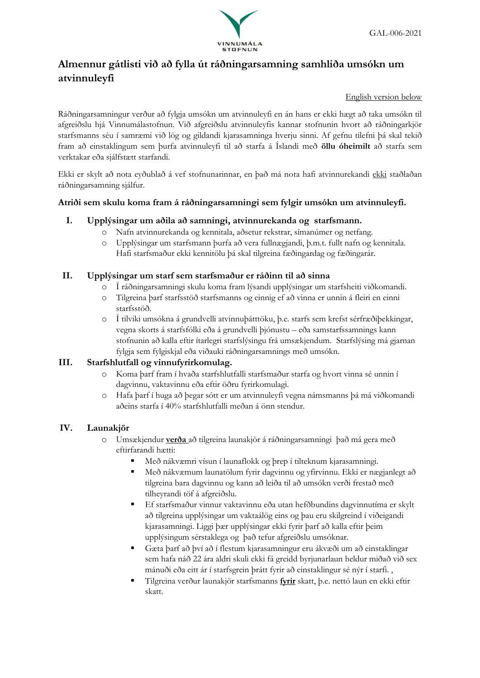

# **Almennur gátlisti við að fylla út ráðningarsamning samhliða umsókn um atvinnuleyfi**

#### English version below

Ráðningarsamningur verður að fylgja umsókn um atvinnuleyfi en án hans er ekki hægt að taka umsókn til afgreiðslu hjá Vinnumálastofnun. Við afgreiðslu atvinnuleyfis kannar stofnunin hvort að ráðningarkjör starfsmanns séu í samræmi við lög og gildandi kjarasamninga hverju sinni. Af gefnu tilefni þá skal tekið fram að einstaklingum sem þurfa atvinnuleyfi til að starfa á Íslandi með **öllu óheimilt** að starfa sem verktakar eða sjálfstætt starfandi.

Ekki er skylt að nota eyðublað á vef stofnunarinnar, en það má nota hafi atvinnurekandi ekki staðlaðan ráðningarsamning sjálfur.

#### **Atriði sem skulu koma fram á ráðningarsamningi sem fylgir umsókn um atvinnuleyfi.**

### **I. Upplýsingar um aðila að samningi, atvinnurekanda og starfsmann.**

- o Nafn atvinnurekanda og kennitala, aðsetur rekstrar, símanúmer og netfang.
- o Upplýsingar um starfsmann þurfa að vera fullnægjandi, þ.m.t. fullt nafn og kennitala. Hafi starfsmaður ekki kennitölu þá skal tilgreina fæðingardag og fæðingarár.

### **II. Upplýsingar um starf sem starfsmaður er ráðinn til að sinna**

- o Í ráðningarsamningi skulu koma fram lýsandi upplýsingar um starfsheiti viðkomandi.
- o Tilgreina þarf starfsstöð starfsmanns og einnig ef að vinna er unnin á fleiri en einni starfsstöð.
- o Í tilviki umsókna á grundvelli atvinnuþátttöku, þ.e. starfs sem krefst sérfræðiþekkingar, vegna skorts á starfsfólki eða á grundvelli þjónustu – eða samstarfssamnings kann stofnunin að kalla eftir ítarlegri starfslýsingu frá umsækjendum. Starfslýsing má gjarnan fylgja sem fylgiskjal eða viðauki ráðningarsamnings með umsókn.

## **III. Starfshlutfall og vinnufyrirkomulag.**

- o Koma þarf fram í hvaða starfshlutfalli starfsmaður starfa og hvort vinna sé unnin í dagvinnu, vaktavinnu eða eftir öðru fyrirkomulagi.
- o Hafa þarf í huga að þegar sótt er um atvinnuleyfi vegna námsmanns þá má viðkomandi aðeins starfa í 40% starfshlutfalli meðan á önn stendur.

## **IV. Launakjör**

- o Umsækjendur **verða** að tilgreina launakjör á ráðningarsamningi það má gera með eftirfarandi hætti:
	- Með nákvæmri vísun í launaflokk og þrep í tilteknum kjarasamningi.
	- Með nákvæmum launatölum fyrir dagvinnu og yfirvinnu. Ekki er nægjanlegt að tilgreina bara dagvinnu og kann að leiða til að umsókn verði frestað með tilheyrandi töf á afgreiðslu.
	- Ef starfsmaður vinnur vaktavinnu eða utan hefðbundins dagvinnutíma er skylt að tilgreina upplýsingar um vaktaálög eins og þau eru skilgreind í viðeigandi kjarasamningi. Liggi þær upplýsingar ekki fyrir þarf að kalla eftir þeim upplýsingum sérstaklega og það tefur afgreiðslu umsóknar.
	- Gæta þarf að því að í flestum kjarasamningur eru ákvæði um að einstaklingar sem hafa náð 22 ára aldri skuli ekki fá greidd byrjunarlaun heldur miðað við sex mánuði eða eitt ár í starfsgrein þrátt fyrir að einstaklingur sé nýr í starfi. ,
	- Tilgreina verður launakjör starfsmanns **fyrir** skatt, þ.e. nettó laun en ekki eftir skatt.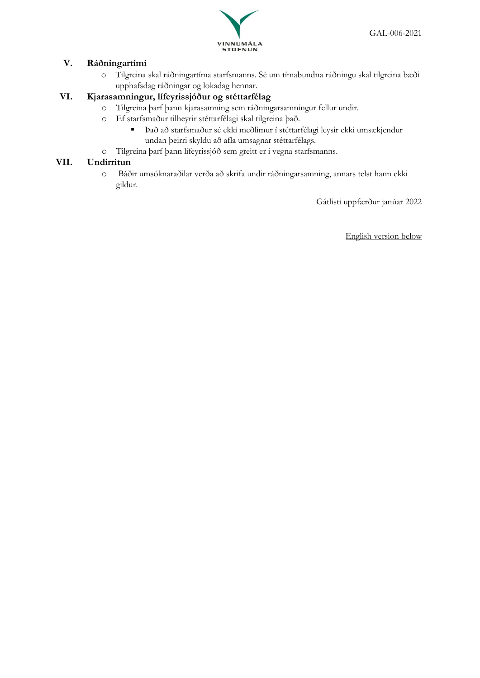

### **V. Ráðningartími**

o Tilgreina skal ráðningartíma starfsmanns. Sé um tímabundna ráðningu skal tilgreina bæði upphafsdag ráðningar og lokadag hennar.

## **VI. Kjarasamningur, lífeyrissjóður og stéttarfélag**

- o Tilgreina þarf þann kjarasamning sem ráðningarsamningur fellur undir.
- o Ef starfsmaður tilheyrir stéttarfélagi skal tilgreina það.
	- Það að starfsmaður sé ekki meðlimur í stéttarfélagi leysir ekki umsækjendur undan þeirri skyldu að afla umsagnar stéttarfélags.
- o Tilgreina þarf þann lífeyrissjóð sem greitt er í vegna starfsmanns.

#### **VII. Undirritun**

o Báðir umsóknaraðilar verða að skrifa undir ráðningarsamning, annars telst hann ekki gildur.

Gátlisti uppfærður janúar 2022

English version below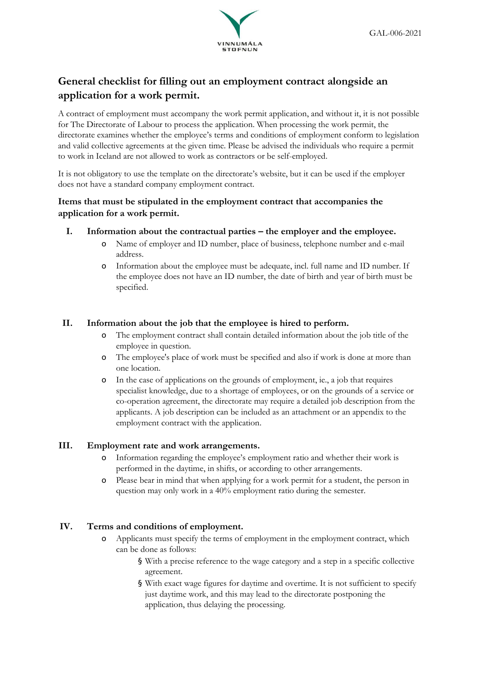

# **General checklist for filling out an employment contract alongside an application for a work permit.**

A contract of employment must accompany the work permit application, and without it, it is not possible for The Directorate of Labour to process the application. When processing the work permit, the directorate examines whether the employee's terms and conditions of employment conform to legislation and valid collective agreements at the given time. Please be advised the individuals who require a permit to work in Iceland are not allowed to work as contractors or be self-employed.

It is not obligatory to use the template on the directorate's website, but it can be used if the employer does not have a standard company employment contract.

## **Items that must be stipulated in the employment contract that accompanies the application for a work permit.**

- **I. Information about the contractual parties – the employer and the employee.**
	- Name of employer and ID number, place of business, telephone number and e-mail address.
	- o Information about the employee must be adequate, incl. full name and ID number. If the employee does not have an ID number, the date of birth and year of birth must be specified.

#### **II. Information about the job that the employee is hired to perform.**

- The employment contract shall contain detailed information about the job title of the employee in question.
- o The employee's place of work must be specified and also if work is done at more than one location.
- o In the case of applications on the grounds of employment, ie., a job that requires specialist knowledge, due to a shortage of employees, or on the grounds of a service or co-operation agreement, the directorate may require a detailed job description from the applicants. A job description can be included as an attachment or an appendix to the employment contract with the application.

#### **III. Employment rate and work arrangements.**

- o Information regarding the employee's employment ratio and whether their work is performed in the daytime, in shifts, or according to other arrangements.
- o Please bear in mind that when applying for a work permit for a student, the person in question may only work in a 40% employment ratio during the semester.

#### **IV. Terms and conditions of employment.**

- o Applicants must specify the terms of employment in the employment contract, which can be done as follows:
	- § With a precise reference to the wage category and a step in a specific collective agreement.
	- § With exact wage figures for daytime and overtime. It is not sufficient to specify just daytime work, and this may lead to the directorate postponing the application, thus delaying the processing.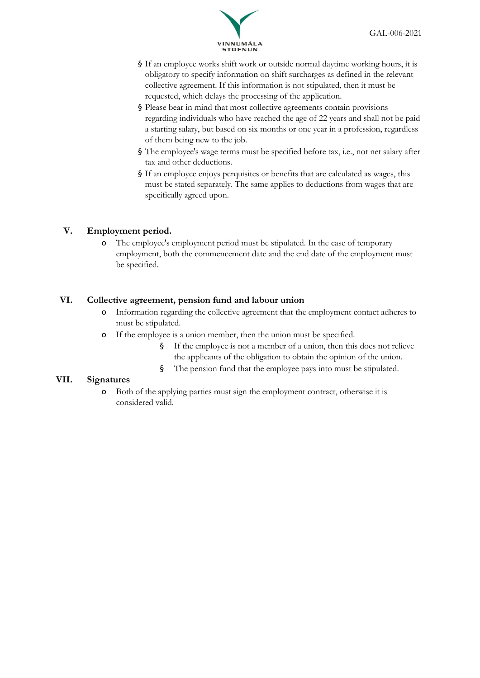

- § If an employee works shift work or outside normal daytime working hours, it is obligatory to specify information on shift surcharges as defined in the relevant collective agreement. If this information is not stipulated, then it must be requested, which delays the processing of the application.
- § Please bear in mind that most collective agreements contain provisions regarding individuals who have reached the age of 22 years and shall not be paid a starting salary, but based on six months or one year in a profession, regardless of them being new to the job.
- § The employee's wage terms must be specified before tax, i.e., not net salary after tax and other deductions.
- § If an employee enjoys perquisites or benefits that are calculated as wages, this must be stated separately. The same applies to deductions from wages that are specifically agreed upon.

## **V. Employment period.**

The employee's employment period must be stipulated. In the case of temporary employment, both the commencement date and the end date of the employment must be specified.

#### **VI. Collective agreement, pension fund and labour union**

- o Information regarding the collective agreement that the employment contact adheres to must be stipulated.
- o If the employee is a union member, then the union must be specified.
	- § If the employee is not a member of a union, then this does not relieve the applicants of the obligation to obtain the opinion of the union.
	- § The pension fund that the employee pays into must be stipulated.

#### **VII. Signatures**

o Both of the applying parties must sign the employment contract, otherwise it is considered valid.